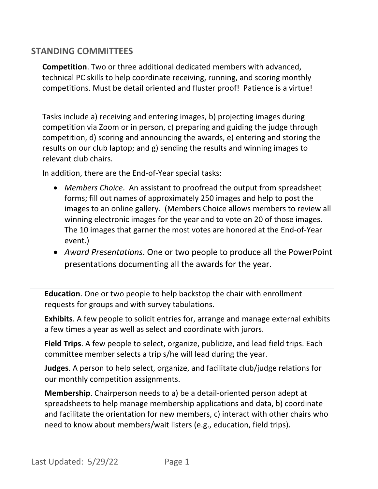## **STANDING COMMITTEES**

**Competition**. Two or three additional dedicated members with advanced, technical PC skills to help coordinate receiving, running, and scoring monthly competitions. Must be detail oriented and fluster proof! Patience is a virtue!

Tasks include a) receiving and entering images, b) projecting images during competition via Zoom or in person, c) preparing and guiding the judge through competition, d) scoring and announcing the awards, e) entering and storing the results on our club laptop; and g) sending the results and winning images to relevant club chairs.

In addition, there are the End-of-Year special tasks:

- *Members Choice*. An assistant to proofread the output from spreadsheet forms; fill out names of approximately 250 images and help to post the images to an online gallery. (Members Choice allows members to review all winning electronic images for the year and to vote on 20 of those images. The 10 images that garner the most votes are honored at the End-of-Year event.)
- *Award Presentations*. One or two people to produce all the PowerPoint presentations documenting all the awards for the year.

**Education**. One or two people to help backstop the chair with enrollment requests for groups and with survey tabulations.

**Exhibits**. A few people to solicit entries for, arrange and manage external exhibits a few times a year as well as select and coordinate with jurors.

**Field Trips**. A few people to select, organize, publicize, and lead field trips. Each committee member selects a trip s/he will lead during the year.

**Judges**. A person to help select, organize, and facilitate club/judge relations for our monthly competition assignments.

**Membership**. Chairperson needs to a) be a detail-oriented person adept at spreadsheets to help manage membership applications and data, b) coordinate and facilitate the orientation for new members, c) interact with other chairs who need to know about members/wait listers (e.g., education, field trips).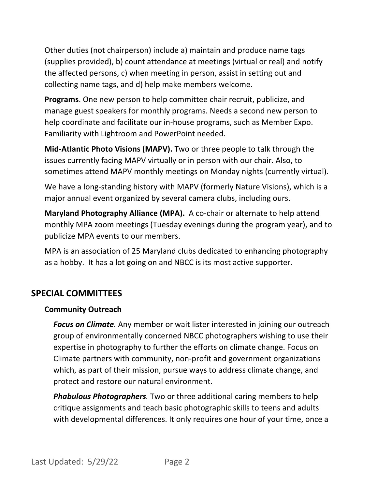Other duties (not chairperson) include a) maintain and produce name tags (supplies provided), b) count attendance at meetings (virtual or real) and notify the affected persons, c) when meeting in person, assist in setting out and collecting name tags, and d) help make members welcome.

**Programs**. One new person to help committee chair recruit, publicize, and manage guest speakers for monthly programs. Needs a second new person to help coordinate and facilitate our in-house programs, such as Member Expo. Familiarity with Lightroom and PowerPoint needed.

**Mid-Atlantic Photo Visions (MAPV).** Two or three people to talk through the issues currently facing MAPV virtually or in person with our chair. Also, to sometimes attend MAPV monthly meetings on Monday nights (currently virtual).

We have a long-standing history with MAPV (formerly Nature Visions), which is a major annual event organized by several camera clubs, including ours.

**Maryland Photography Alliance (MPA).** A co-chair or alternate to help attend monthly MPA zoom meetings (Tuesday evenings during the program year), and to publicize MPA events to our members.

MPA is an association of 25 Maryland clubs dedicated to enhancing photography as a hobby. It has a lot going on and NBCC is its most active supporter.

## **SPECIAL COMMITTEES**

## **Community Outreach**

*Focus on Climate.* Any member or wait lister interested in joining our outreach group of environmentally concerned NBCC photographers wishing to use their expertise in photography to further the efforts on climate change. Focus on Climate partners with community, non-profit and government organizations which, as part of their mission, pursue ways to address climate change, and protect and restore our natural environment.

*Phabulous Photographers.* Two or three additional caring members to help critique assignments and teach basic photographic skills to teens and adults with developmental differences. It only requires one hour of your time, once a